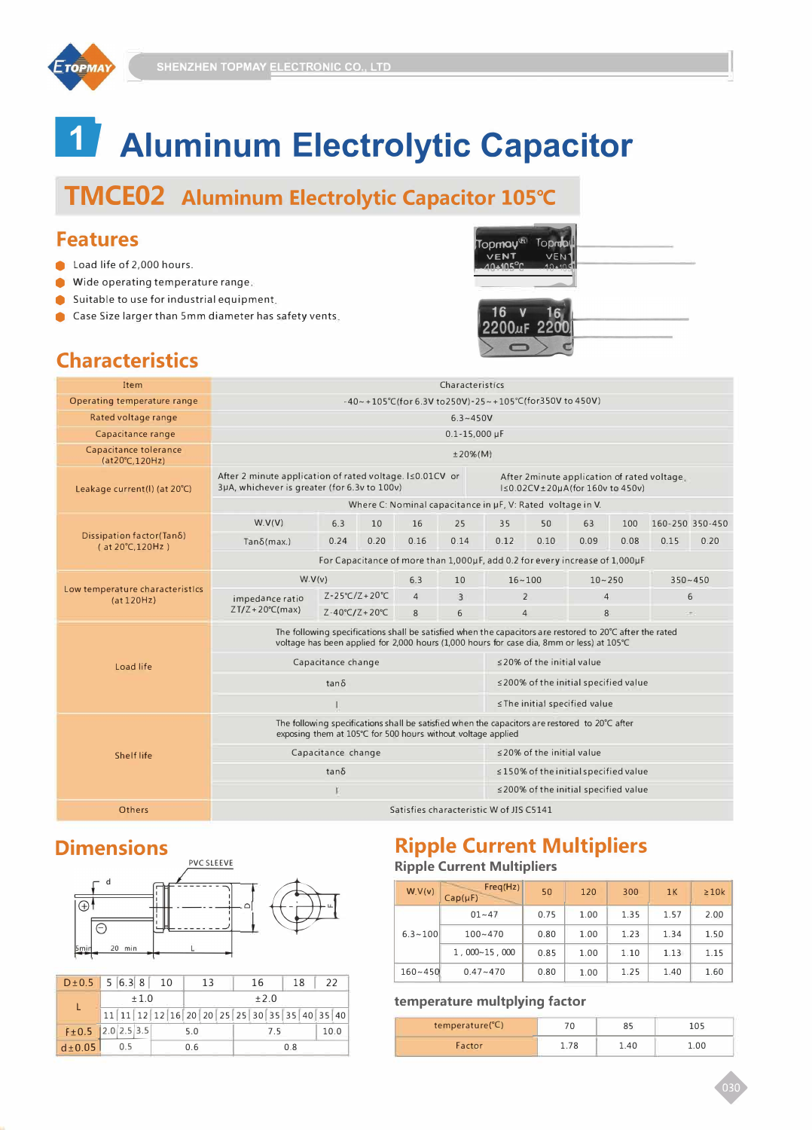

# **17 Aluminum Electrolytic Capacitor**

# **TMCE02 Aluminum Electrolytic Capacitor 105° (**

#### **Features**

- **C** Load life of 2,000 hours.
- $\bullet$  Wide operating temperature range.
- $\bullet$  Suitable to use for industrial equipment,
- **Case Size larger than 5mm diameter has safety vents.**

| Topmoy <sup>G</sup> Topmo |  |  |
|---------------------------|--|--|
| 16<br>2200uF 2200         |  |  |

## **Characteristics**

| <b>Item</b>                                   |                                                                                                                                                                                                       | Characteristics                                              |      |                |                                                                                                          |                                 |                                            |                |      |             |                 |  |  |
|-----------------------------------------------|-------------------------------------------------------------------------------------------------------------------------------------------------------------------------------------------------------|--------------------------------------------------------------|------|----------------|----------------------------------------------------------------------------------------------------------|---------------------------------|--------------------------------------------|----------------|------|-------------|-----------------|--|--|
| Operating temperature range                   |                                                                                                                                                                                                       |                                                              |      |                | -40~+105°C(for 6.3V to250V)-25~+105°C(for350V to 450V)                                                   |                                 |                                            |                |      |             |                 |  |  |
| Rated voltage range                           |                                                                                                                                                                                                       |                                                              |      |                | $6.3 - 450V$                                                                                             |                                 |                                            |                |      |             |                 |  |  |
| Capacitance range                             |                                                                                                                                                                                                       |                                                              |      |                | $0.1 - 15,000 \,\mu F$                                                                                   |                                 |                                            |                |      |             |                 |  |  |
| Capacitance tolerance<br>(at20°C.120Hz)       |                                                                                                                                                                                                       | $±20%$ (M)                                                   |      |                |                                                                                                          |                                 |                                            |                |      |             |                 |  |  |
| Leakage current(I) (at 20°C)                  | After 2 minute application of rated voltage. Is 0.01CV or<br>After 2minute application of rated voltage.<br>3µA, whichever is greater (for 6.3v to 100v)<br>I≤0.02CV±20µA(for 160v to 450v)           |                                                              |      |                |                                                                                                          |                                 |                                            |                |      |             |                 |  |  |
|                                               | Where C: Nominal capacitance in µF, V: Rated voltage in V.                                                                                                                                            |                                                              |      |                |                                                                                                          |                                 |                                            |                |      |             |                 |  |  |
| Dissipation factor(Tanδ)<br>(at 20℃,120Hz)    | W.V(V)                                                                                                                                                                                                | 6.3                                                          | 10   | 16             | 25                                                                                                       | 35                              | 50                                         | 63             | 100  |             | 160-250 350-450 |  |  |
|                                               | $Tan\delta(max.)$                                                                                                                                                                                     | 0.24                                                         | 0.20 | 0.16           | 0.14                                                                                                     | 0.12                            | 0.10                                       | 0.09           | 0.08 | 0.15        | 0.20            |  |  |
|                                               | For Capacitance of more than 1,000µF, add 0.2 for every increase of 1,000µF                                                                                                                           |                                                              |      |                |                                                                                                          |                                 |                                            |                |      |             |                 |  |  |
|                                               | W.V(v)                                                                                                                                                                                                |                                                              |      | 6.3            | 10                                                                                                       |                                 | $16 - 100$                                 | $10 - 250$     |      | $350 - 450$ |                 |  |  |
| Low temperature characteristics<br>(at 120Hz) | impedance ratio                                                                                                                                                                                       | $Z - 25^{\circ}C/Z + 20^{\circ}C$                            |      | $\overline{4}$ | 3                                                                                                        | $\overline{2}$                  |                                            | $\overline{4}$ |      | 6           |                 |  |  |
|                                               | $ZT/Z + 20^{\circ}C(max)$                                                                                                                                                                             | $Z - 40^{\circ}C/Z + 20^{\circ}C$                            |      | 8              | 6                                                                                                        | $\overline{4}$                  |                                            | 8              |      | $\pm$       |                 |  |  |
|                                               | The following specifications shall be satisfied when the capacitors are restored to 20°C after the rated<br>voltage has been applied for 2,000 hours (1,000 hours for case dia, 8mm or less) at 105°C |                                                              |      |                |                                                                                                          |                                 |                                            |                |      |             |                 |  |  |
| Load life                                     |                                                                                                                                                                                                       | Capacitance change                                           |      |                |                                                                                                          | $\leq$ 20% of the initial value |                                            |                |      |             |                 |  |  |
|                                               |                                                                                                                                                                                                       | $tan \delta$                                                 |      |                | ≤200% of the initial specified value                                                                     |                                 |                                            |                |      |             |                 |  |  |
|                                               |                                                                                                                                                                                                       |                                                              |      |                | ≤ The initial specified value                                                                            |                                 |                                            |                |      |             |                 |  |  |
| <b>Shelf life</b>                             |                                                                                                                                                                                                       | exposing them at 105°C for 500 hours without voltage applied |      |                | The following specifications shall be satisfied when the capacitors are restored to $20^{\circ}$ C after |                                 |                                            |                |      |             |                 |  |  |
|                                               |                                                                                                                                                                                                       | Capacitance change                                           |      |                |                                                                                                          | <20% of the initial value       |                                            |                |      |             |                 |  |  |
|                                               |                                                                                                                                                                                                       | $tan\delta$                                                  |      |                |                                                                                                          |                                 | $\leq$ 150% of the initial specified value |                |      |             |                 |  |  |
|                                               |                                                                                                                                                                                                       |                                                              |      |                |                                                                                                          |                                 | ≤200% of the initial specified value       |                |      |             |                 |  |  |
| Others                                        |                                                                                                                                                                                                       | Satisfies characteristic W of JIS C5141                      |      |                |                                                                                                          |                                 |                                            |                |      |             |                 |  |  |

### **Dimensions**



|                     | $D \pm 0.5$ 5 6.3 8 10 |     |                                              |  |  |      | -13 |  |  | 16 |    | 18<br>22 |  |      |  |
|---------------------|------------------------|-----|----------------------------------------------|--|--|------|-----|--|--|----|----|----------|--|------|--|
|                     | ±1.0                   |     |                                              |  |  | ±2.0 |     |  |  |    |    |          |  |      |  |
|                     |                        |     | 11 11 12 12 16 20 20 25 25 30 35 35 40 35 40 |  |  |      |     |  |  |    |    |          |  |      |  |
| $F±0.5$ 2.0 2.5 3.5 |                        |     |                                              |  |  | 5.0  |     |  |  |    | 75 |          |  | 10.0 |  |
| $d\pm 0.05$         |                        | 0.5 |                                              |  |  | 0.6  |     |  |  |    |    | 0.8      |  |      |  |

#### **Ripple Current Multipliers Ripple Current Multipliers**

| W.V(v)      | Freq(Hz)<br>$Cap(\mu F)$ | 50   | 120  | 300  | 1K   | $\geq 10k$ |
|-------------|--------------------------|------|------|------|------|------------|
|             | $01 - 47$                | 0.75 | 1.00 | 1.35 | 1.57 | 2.00       |
| $6.3 - 100$ | $100 - 470$              | 0.80 | 1.00 | 1.23 | 1.34 | 1.50       |
|             | 1.000~15.000             | 0.85 | 1.00 | 1.10 | 1.13 | 1.15       |
| $160 - 450$ | $0.47 - 470$             | 0.80 | 1.00 | 1.25 | 1.40 | 1.60       |

#### **temperature multplying factor**

| 105 |      | 85   | 70   | temperature(°C) |
|-----|------|------|------|-----------------|
|     | 1.00 | 1.40 | 1.78 | Factor          |
|     |      |      |      |                 |